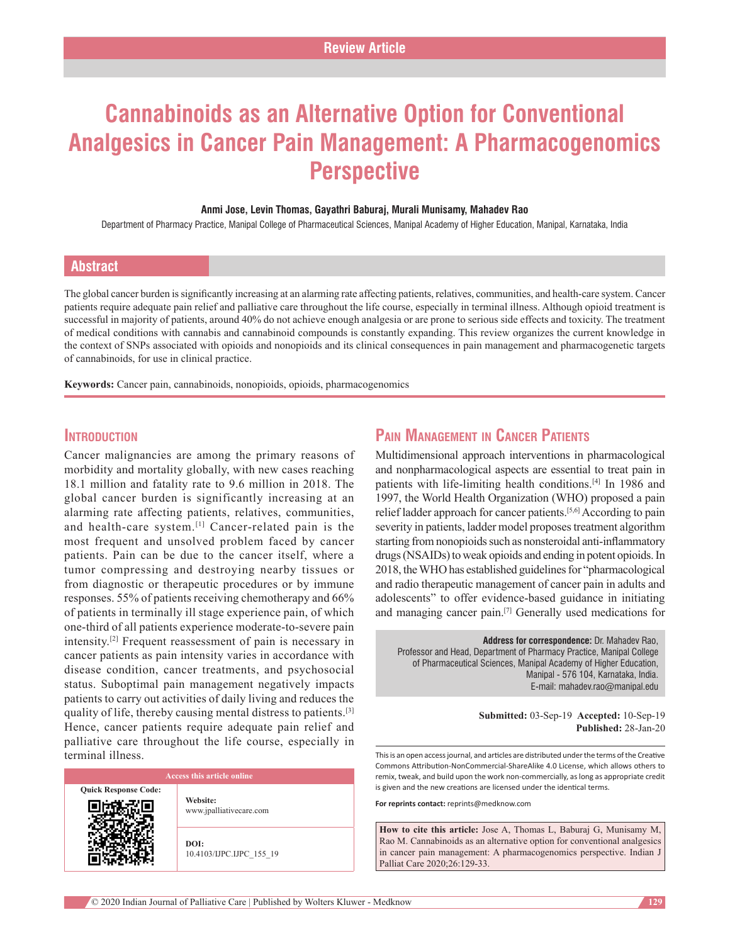# **Cannabinoids as an Alternative Option for Conventional Analgesics in Cancer Pain Management: A Pharmacogenomics Perspective**

#### **Anmi Jose, Levin Thomas, Gayathri Baburaj, Murali Munisamy, Mahadev Rao**

Department of Pharmacy Practice, Manipal College of Pharmaceutical Sciences, Manipal Academy of Higher Education, Manipal, Karnataka, India

### **Abstract**

The global cancer burden is significantly increasing at an alarming rate affecting patients, relatives, communities, and health-care system. Cancer patients require adequate pain relief and palliative care throughout the life course, especially in terminal illness. Although opioid treatment is successful in majority of patients, around 40% do not achieve enough analgesia or are prone to serious side effects and toxicity. The treatment of medical conditions with cannabis and cannabinoid compounds is constantly expanding. This review organizes the current knowledge in the context of SNPs associated with opioids and nonopioids and its clinical consequences in pain management and pharmacogenetic targets of cannabinoids, for use in clinical practice.

**Keywords:** Cancer pain, cannabinoids, nonopioids, opioids, pharmacogenomics

## **Introduction**

Cancer malignancies are among the primary reasons of morbidity and mortality globally, with new cases reaching 18.1 million and fatality rate to 9.6 million in 2018. The global cancer burden is significantly increasing at an alarming rate affecting patients, relatives, communities, and health-care system.<sup>[1]</sup> Cancer-related pain is the most frequent and unsolved problem faced by cancer patients. Pain can be due to the cancer itself, where a tumor compressing and destroying nearby tissues or from diagnostic or therapeutic procedures or by immune responses. 55% of patients receiving chemotherapy and 66% of patients in terminally ill stage experience pain, of which one‑third of all patients experience moderate‑to‑severe pain intensity.[2] Frequent reassessment of pain is necessary in cancer patients as pain intensity varies in accordance with disease condition, cancer treatments, and psychosocial status. Suboptimal pain management negatively impacts patients to carry out activities of daily living and reduces the quality of life, thereby causing mental distress to patients.[3] Hence, cancer patients require adequate pain relief and palliative care throughout the life course, especially in terminal illness.

| <b>Access this article online</b> |                                     |
|-----------------------------------|-------------------------------------|
| <b>Ouick Response Code:</b>       | Website:<br>www.jpalliativecare.com |
|                                   | DOI:<br>10.4103/IJPC.IJPC 155 19    |

## **Pain Management in Cancer Patients**

Multidimensional approach interventions in pharmacological and nonpharmacological aspects are essential to treat pain in patients with life-limiting health conditions.<sup>[4]</sup> In 1986 and 1997, the World Health Organization (WHO) proposed a pain relief ladder approach for cancer patients.[5,6] According to pain severity in patients, ladder model proposes treatment algorithm starting from nonopioids such as nonsteroidal anti-inflammatory drugs (NSAIDs) to weak opioids and ending in potent opioids. In 2018, the WHO has established guidelines for "pharmacological and radio therapeutic management of cancer pain in adults and adolescents" to offer evidence‑based guidance in initiating and managing cancer pain.[7] Generally used medications for

**Address for correspondence:** Dr. Mahadev Rao, Professor and Head, Department of Pharmacy Practice, Manipal College of Pharmaceutical Sciences, Manipal Academy of Higher Education, Manipal ‑ 576 104, Karnataka, India. E‑mail: mahadev.rao@manipal.edu

> **Submitted:** 03-Sep-19 **Accepted:** 10-Sep-19 **Published:** 28-Jan-20

This is an open access journal, and articles are distributed under the terms of the Creative Commons Attribution‑NonCommercial‑ShareAlike 4.0 License, which allows others to remix, tweak, and build upon the work non‑commercially, as long as appropriate credit is given and the new creations are licensed under the identical terms.

**For reprints contact:** reprints@medknow.com

**How to cite this article:** Jose A, Thomas L, Baburaj G, Munisamy M, Rao M. Cannabinoids as an alternative option for conventional analgesics in cancer pain management: A pharmacogenomics perspective. Indian J Palliat Care 2020;26:129-33.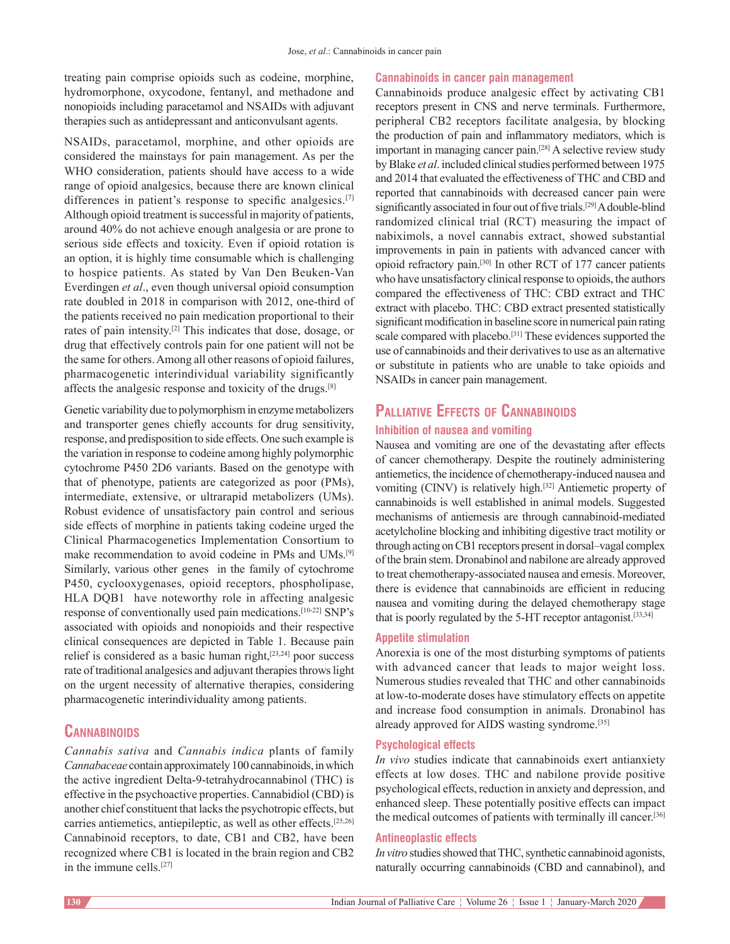treating pain comprise opioids such as codeine, morphine, hydromorphone, oxycodone, fentanyl, and methadone and nonopioids including paracetamol and NSAIDs with adjuvant therapies such as antidepressant and anticonvulsant agents.

NSAIDs, paracetamol, morphine, and other opioids are considered the mainstays for pain management. As per the WHO consideration, patients should have access to a wide range of opioid analgesics, because there are known clinical differences in patient's response to specific analgesics.<sup>[7]</sup> Although opioid treatment is successful in majority of patients, around 40% do not achieve enough analgesia or are prone to serious side effects and toxicity. Even if opioid rotation is an option, it is highly time consumable which is challenging to hospice patients. As stated by Van Den Beuken‑Van Everdingen *et al*., even though universal opioid consumption rate doubled in 2018 in comparison with 2012, one-third of the patients received no pain medication proportional to their rates of pain intensity.[2] This indicates that dose, dosage, or drug that effectively controls pain for one patient will not be the same for others. Among all other reasons of opioid failures, pharmacogenetic interindividual variability significantly affects the analgesic response and toxicity of the drugs.[8]

Genetic variability due to polymorphism in enzyme metabolizers and transporter genes chiefly accounts for drug sensitivity, response, and predisposition to side effects. One such example is the variation in response to codeine among highly polymorphic cytochrome P450 2D6 variants. Based on the genotype with that of phenotype, patients are categorized as poor (PMs), intermediate, extensive, or ultrarapid metabolizers (UMs). Robust evidence of unsatisfactory pain control and serious side effects of morphine in patients taking codeine urged the Clinical Pharmacogenetics Implementation Consortium to make recommendation to avoid codeine in PMs and UMs.[9] Similarly, various other genes in the family of cytochrome P450, cyclooxygenases, opioid receptors, phospholipase, HLA DQB1 have noteworthy role in affecting analgesic response of conventionally used pain medications.[10-22] SNP's associated with opioids and nonopioids and their respective clinical consequences are depicted in Table 1. Because pain relief is considered as a basic human right,[23,24] poor success rate of traditional analgesics and adjuvant therapies throws light on the urgent necessity of alternative therapies, considering pharmacogenetic interindividuality among patients.

## **Cannabinoids**

*Cannabis sativa* and *Cannabis indica* plants of family *Cannabaceae* contain approximately 100 cannabinoids, in which the active ingredient Delta‑9‑tetrahydrocannabinol (THC) is effective in the psychoactive properties. Cannabidiol (CBD) is another chief constituent that lacks the psychotropic effects, but carries antiemetics, antiepileptic, as well as other effects.[25,26] Cannabinoid receptors, to date, CB1 and CB2, have been recognized where CB1 is located in the brain region and CB2 in the immune cells.[27]

#### **Cannabinoids in cancer pain management**

Cannabinoids produce analgesic effect by activating CB1 receptors present in CNS and nerve terminals. Furthermore, peripheral CB2 receptors facilitate analgesia, by blocking the production of pain and inflammatory mediators, which is important in managing cancer pain.[28] A selective review study by Blake *et al*. included clinical studies performed between 1975 and 2014 that evaluated the effectiveness of THC and CBD and reported that cannabinoids with decreased cancer pain were significantly associated in four out of five trials.<sup>[29]</sup> A double-blind randomized clinical trial (RCT) measuring the impact of nabiximols, a novel cannabis extract, showed substantial improvements in pain in patients with advanced cancer with opioid refractory pain.[30] In other RCT of 177 cancer patients who have unsatisfactory clinical response to opioids, the authors compared the effectiveness of THC: CBD extract and THC extract with placebo. THC: CBD extract presented statistically significant modification in baseline score in numerical pain rating scale compared with placebo.[31] These evidences supported the use of cannabinoids and their derivatives to use as an alternative or substitute in patients who are unable to take opioids and NSAIDs in cancer pain management.

## **Palliative Effects of Cannabinoids**

### **Inhibition of nausea and vomiting**

Nausea and vomiting are one of the devastating after effects of cancer chemotherapy. Despite the routinely administering antiemetics, the incidence of chemotherapy‑induced nausea and vomiting (CINV) is relatively high.[32] Antiemetic property of cannabinoids is well established in animal models. Suggested mechanisms of antiemesis are through cannabinoid‑mediated acetylcholine blocking and inhibiting digestive tract motility or through acting on CB1 receptors present in dorsal–vagal complex of the brain stem. Dronabinol and nabilone are already approved to treat chemotherapy‑associated nausea and emesis. Moreover, there is evidence that cannabinoids are efficient in reducing nausea and vomiting during the delayed chemotherapy stage that is poorly regulated by the 5–HT receptor antagonist.<sup>[33,34]</sup>

#### **Appetite stimulation**

Anorexia is one of the most disturbing symptoms of patients with advanced cancer that leads to major weight loss. Numerous studies revealed that THC and other cannabinoids at low‑to‑moderate doses have stimulatory effects on appetite and increase food consumption in animals. Dronabinol has already approved for AIDS wasting syndrome.[35]

#### **Psychological effects**

*In vivo* studies indicate that cannabinoids exert antianxiety effects at low doses. THC and nabilone provide positive psychological effects, reduction in anxiety and depression, and enhanced sleep. These potentially positive effects can impact the medical outcomes of patients with terminally ill cancer.[36]

#### **Antineoplastic effects**

*In vitro* studies showed that THC, synthetic cannabinoid agonists, naturally occurring cannabinoids (CBD and cannabinol), and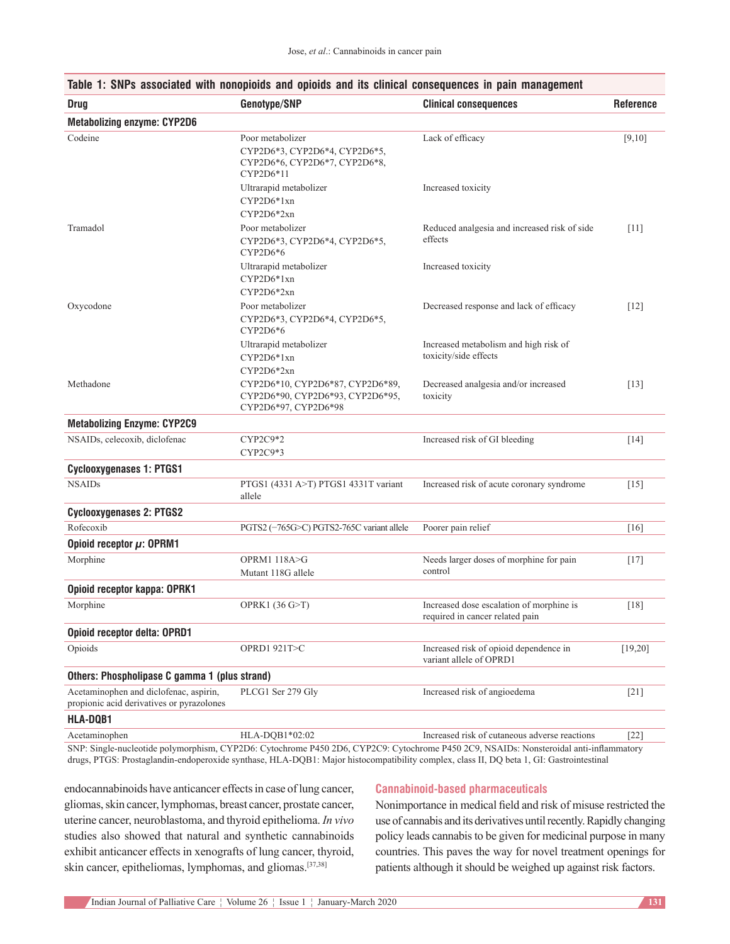| <b>Drug</b>                                                                         | Genotype/SNP                                                                                      | <b>Clinical consequences</b>                                                | <b>Reference</b>   |
|-------------------------------------------------------------------------------------|---------------------------------------------------------------------------------------------------|-----------------------------------------------------------------------------|--------------------|
| <b>Metabolizing enzyme: CYP2D6</b>                                                  |                                                                                                   |                                                                             |                    |
| Codeine                                                                             | Poor metabolizer<br>CYP2D6*3, CYP2D6*4, CYP2D6*5,<br>CYP2D6*6, CYP2D6*7, CYP2D6*8,<br>$CYP2D6*11$ | Lack of efficacy                                                            | [9,10]             |
|                                                                                     | Ultrarapid metabolizer<br>CYP2D6*1xn<br>CYP2D6*2xn                                                | Increased toxicity                                                          |                    |
| Tramadol                                                                            | Poor metabolizer<br>CYP2D6*3, CYP2D6*4, CYP2D6*5,<br>$CYP2D6*6$                                   | Reduced analgesia and increased risk of side<br>effects                     | $[11]$             |
|                                                                                     | Ultrarapid metabolizer<br>CYP2D6*1xn<br>CYP2D6*2xn                                                | Increased toxicity                                                          |                    |
| Oxycodone                                                                           | Poor metabolizer<br>CYP2D6*3, CYP2D6*4, CYP2D6*5,<br>$CYP2D6*6$                                   | Decreased response and lack of efficacy                                     | $[12]$             |
|                                                                                     | Ultrarapid metabolizer<br>CYP2D6*1xn<br>$CYP2D6*2xn$                                              | Increased metabolism and high risk of<br>toxicity/side effects              |                    |
| Methadone                                                                           | CYP2D6*10, CYP2D6*87, CYP2D6*89,<br>CYP2D6*90, CYP2D6*93, CYP2D6*95,<br>CYP2D6*97, CYP2D6*98      | Decreased analgesia and/or increased<br>toxicity                            | $\lceil 13 \rceil$ |
| <b>Metabolizing Enzyme: CYP2C9</b>                                                  |                                                                                                   |                                                                             |                    |
| NSAIDs, celecoxib, diclofenac                                                       | CYP2C9*2<br>CYP2C9*3                                                                              | Increased risk of GI bleeding                                               | $[14]$             |
| <b>Cyclooxygenases 1: PTGS1</b>                                                     |                                                                                                   |                                                                             |                    |
| <b>NSAIDs</b>                                                                       | PTGS1 (4331 A>T) PTGS1 4331T variant<br>allele                                                    | Increased risk of acute coronary syndrome                                   | $[15]$             |
| <b>Cyclooxygenases 2: PTGS2</b>                                                     |                                                                                                   |                                                                             |                    |
| Rofecoxib                                                                           | PGTS2 (-765G>C) PGTS2-765C variant allele                                                         | Poorer pain relief                                                          | [16]               |
| Opioid receptor $\mu$ : OPRM1                                                       |                                                                                                   |                                                                             |                    |
| Morphine                                                                            | OPRM1 118A>G<br>Mutant 118G allele                                                                | Needs larger doses of morphine for pain<br>control                          | $[17]$             |
| Opioid receptor kappa: OPRK1                                                        |                                                                                                   |                                                                             |                    |
| Morphine                                                                            | OPRK1 $(36 G > T)$                                                                                | Increased dose escalation of morphine is<br>required in cancer related pain | [18]               |
| Opioid receptor delta: OPRD1                                                        |                                                                                                   |                                                                             |                    |
| Opioids                                                                             | OPRD1 921T>C                                                                                      | Increased risk of opioid dependence in<br>variant allele of OPRD1           | [19,20]            |
| Others: Phospholipase C gamma 1 (plus strand)                                       |                                                                                                   |                                                                             |                    |
| Acetaminophen and diclofenac, aspirin,<br>propionic acid derivatives or pyrazolones | PLCG1 Ser 279 Gly                                                                                 | Increased risk of angioedema                                                | $[21]$             |
| <b>HLA-DQB1</b>                                                                     |                                                                                                   |                                                                             |                    |
| Acetaminophen                                                                       | HLA-DQB1*02:02                                                                                    | Increased risk of cutaneous adverse reactions                               | $[22]$             |

#### **Table 1: SNPs associated with nonopioids and opioids and its clinical consequences in pain management**

SNP: Single-nucleotide polymorphism, CYP2D6: Cytochrome P450 2D6, CYP2C9: Cytochrome P450 2C9, NSAIDs: Nonsteroidal anti-inflammatory drugs, PTGS: Prostaglandin‑endoperoxide synthase, HLA‑DQB1: Major histocompatibility complex, class II, DQ beta 1, GI: Gastrointestinal

endocannabinoids have anticancer effects in case of lung cancer, gliomas, skin cancer, lymphomas, breast cancer, prostate cancer, uterine cancer, neuroblastoma, and thyroid epithelioma. *In vivo*  studies also showed that natural and synthetic cannabinoids exhibit anticancer effects in xenografts of lung cancer, thyroid, skin cancer, epitheliomas, lymphomas, and gliomas.[37,38]

#### **Cannabinoid‑based pharmaceuticals**

Nonimportance in medical field and risk of misuse restricted the use of cannabis and its derivatives until recently. Rapidly changing policy leads cannabis to be given for medicinal purpose in many countries. This paves the way for novel treatment openings for patients although it should be weighed up against risk factors.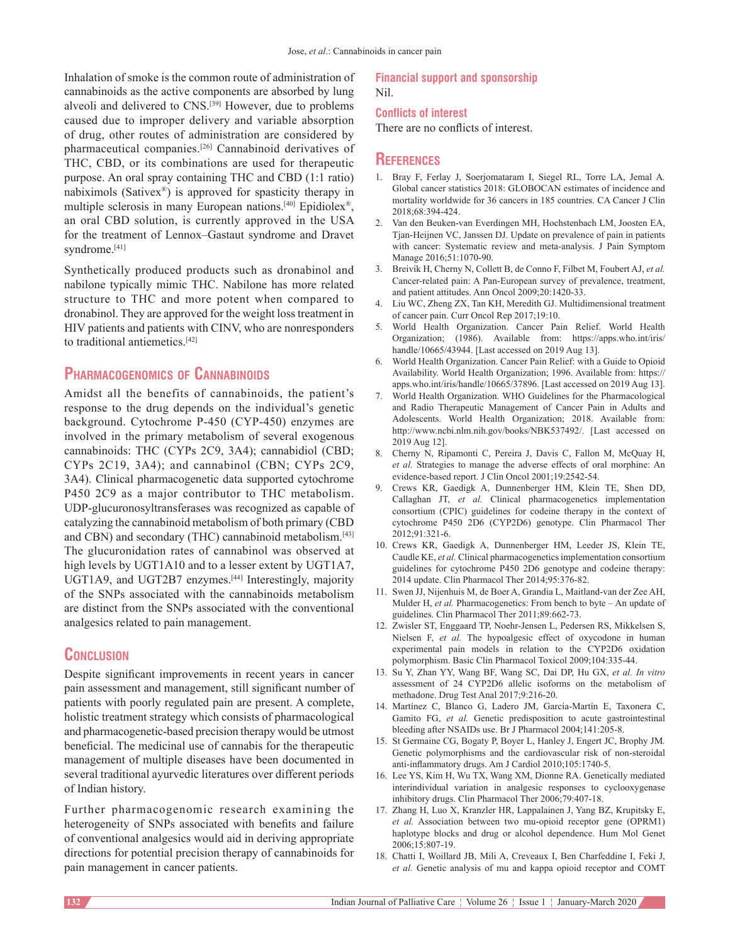Inhalation of smoke is the common route of administration of cannabinoids as the active components are absorbed by lung alveoli and delivered to CNS.<sup>[39]</sup> However, due to problems caused due to improper delivery and variable absorption of drug, other routes of administration are considered by pharmaceutical companies.[26] Cannabinoid derivatives of THC, CBD, or its combinations are used for therapeutic purpose. An oral spray containing THC and CBD (1:1 ratio) nabiximols (Sativex®) is approved for spasticity therapy in multiple sclerosis in many European nations.[40] Epidiolex®, an oral CBD solution, is currently approved in the USA for the treatment of Lennox–Gastaut syndrome and Dravet syndrome.<sup>[41]</sup>

Synthetically produced products such as dronabinol and nabilone typically mimic THC. Nabilone has more related structure to THC and more potent when compared to dronabinol. They are approved for the weight loss treatment in HIV patients and patients with CINV, who are nonresponders to traditional antiemetics.[42]

## **Pharmacogenomics of Cannabinoids**

Amidst all the benefits of cannabinoids, the patient's response to the drug depends on the individual's genetic background. Cytochrome P-450 (CYP-450) enzymes are involved in the primary metabolism of several exogenous cannabinoids: THC (CYPs 2C9, 3A4); cannabidiol (CBD; CYPs 2C19, 3A4); and cannabinol (CBN; CYPs 2C9, 3A4). Clinical pharmacogenetic data supported cytochrome P450 2C9 as a major contributor to THC metabolism. UDP‑glucuronosyltransferases was recognized as capable of catalyzing the cannabinoid metabolism of both primary (CBD and CBN) and secondary (THC) cannabinoid metabolism.<sup>[43]</sup> The glucuronidation rates of cannabinol was observed at high levels by UGT1A10 and to a lesser extent by UGT1A7, UGT1A9, and UGT2B7 enzymes.<sup>[44]</sup> Interestingly, majority of the SNPs associated with the cannabinoids metabolism are distinct from the SNPs associated with the conventional analgesics related to pain management.

## **Conclusion**

Despite significant improvements in recent years in cancer pain assessment and management, still significant number of patients with poorly regulated pain are present. A complete, holistic treatment strategy which consists of pharmacological and pharmacogenetic‑based precision therapy would be utmost beneficial. The medicinal use of cannabis for the therapeutic management of multiple diseases have been documented in several traditional ayurvedic literatures over different periods of Indian history.

Further pharmacogenomic research examining the heterogeneity of SNPs associated with benefits and failure of conventional analgesics would aid in deriving appropriate directions for potential precision therapy of cannabinoids for pain management in cancer patients.

#### **Financial support and sponsorship** Nil.

#### **Conflicts of interest**

There are no conflicts of interest.

#### **References**

- 1. Bray F, Ferlay J, Soerjomataram I, Siegel RL, Torre LA, Jemal A*.* Global cancer statistics 2018: GLOBOCAN estimates of incidence and mortality worldwide for 36 cancers in 185 countries. CA Cancer J Clin 2018;68:394‑424.
- 2. Van den Beuken-van Everdingen MH, Hochstenbach LM, Joosten EA, Tjan‑Heijnen VC, Janssen DJ. Update on prevalence of pain in patients with cancer: Systematic review and meta-analysis. J Pain Symptom Manage 2016;51:1070-90.
- 3. Breivik H, Cherny N, Collett B, de Conno F, Filbet M, Foubert AJ, *et al.* Cancer-related pain: A Pan-European survey of prevalence, treatment, and patient attitudes. Ann Oncol 2009;20:1420‑33.
- 4. Liu WC, Zheng ZX, Tan KH, Meredith GJ. Multidimensional treatment of cancer pain. Curr Oncol Rep 2017;19:10.
- 5. World Health Organization. Cancer Pain Relief. World Health Organization; (1986). Available from: https://apps.who.int/iris/ handle/10665/43944. [Last accessed on 2019 Aug 13].
- 6. World Health Organization. Cancer Pain Relief: with a Guide to Opioid Availability. World Health Organization; 1996. Available from: https:// apps.who.int/iris/handle/10665/37896. [Last accessed on 2019 Aug 13].
- 7. World Health Organization. WHO Guidelines for the Pharmacological and Radio Therapeutic Management of Cancer Pain in Adults and Adolescents. World Health Organization; 2018. Available from: http://www.ncbi.nlm.nih.gov/books/NBK537492/. [Last accessed on 2019 Aug 12].
- 8. Cherny N, Ripamonti C, Pereira J, Davis C, Fallon M, McQuay H, *et al.* Strategies to manage the adverse effects of oral morphine: An evidence-based report. J Clin Oncol 2001;19:2542-54.
- 9. Crews KR, Gaedigk A, Dunnenberger HM, Klein TE, Shen DD, Callaghan JT, *et al.* Clinical pharmacogenetics implementation consortium (CPIC) guidelines for codeine therapy in the context of cytochrome P450 2D6 (CYP2D6) genotype. Clin Pharmacol Ther 2012;91:321‑6.
- 10. Crews KR, Gaedigk A, Dunnenberger HM, Leeder JS, Klein TE, Caudle KE, *et al.* Clinical pharmacogenetics implementation consortium guidelines for cytochrome P450 2D6 genotype and codeine therapy: 2014 update. Clin Pharmacol Ther 2014;95:376‑82.
- 11. Swen JJ, Nijenhuis M, de Boer A, Grandia L, Maitland-van der Zee AH, Mulder H, *et al.* Pharmacogenetics: From bench to byte – An update of guidelines. Clin Pharmacol Ther 2011;89:662-73.
- 12. Zwisler ST, Enggaard TP, Noehr‑Jensen L, Pedersen RS, Mikkelsen S, Nielsen F, *et al.* The hypoalgesic effect of oxycodone in human experimental pain models in relation to the CYP2D6 oxidation polymorphism. Basic Clin Pharmacol Toxicol 2009;104:335-44.
- 13. Su Y, Zhan YY, Wang BF, Wang SC, Dai DP, Hu GX, *et al. In vitro*  assessment of 24 CYP2D6 allelic isoforms on the metabolism of methadone. Drug Test Anal 2017;9:216‑20.
- 14. Martínez C, Blanco G, Ladero JM, García‑Martín E, Taxonera C, Gamito FG, *et al.* Genetic predisposition to acute gastrointestinal bleeding after NSAIDs use. Br J Pharmacol 2004;141:205-8.
- 15. St Germaine CG, Bogaty P, Boyer L, Hanley J, Engert JC, Brophy JM*.* Genetic polymorphisms and the cardiovascular risk of non-steroidal anti-inflammatory drugs. Am J Cardiol 2010;105:1740-5.
- 16. Lee YS, Kim H, Wu TX, Wang XM, Dionne RA. Genetically mediated interindividual variation in analgesic responses to cyclooxygenase inhibitory drugs. Clin Pharmacol Ther 2006;79:407-18.
- 17. Zhang H, Luo X, Kranzler HR, Lappalainen J, Yang BZ, Krupitsky E, *et al.* Association between two mu‑opioid receptor gene (OPRM1) haplotype blocks and drug or alcohol dependence. Hum Mol Genet 2006;15:807‑19.
- 18. Chatti I, Woillard JB, Mili A, Creveaux I, Ben Charfeddine I, Feki J, *et al.* Genetic analysis of mu and kappa opioid receptor and COMT